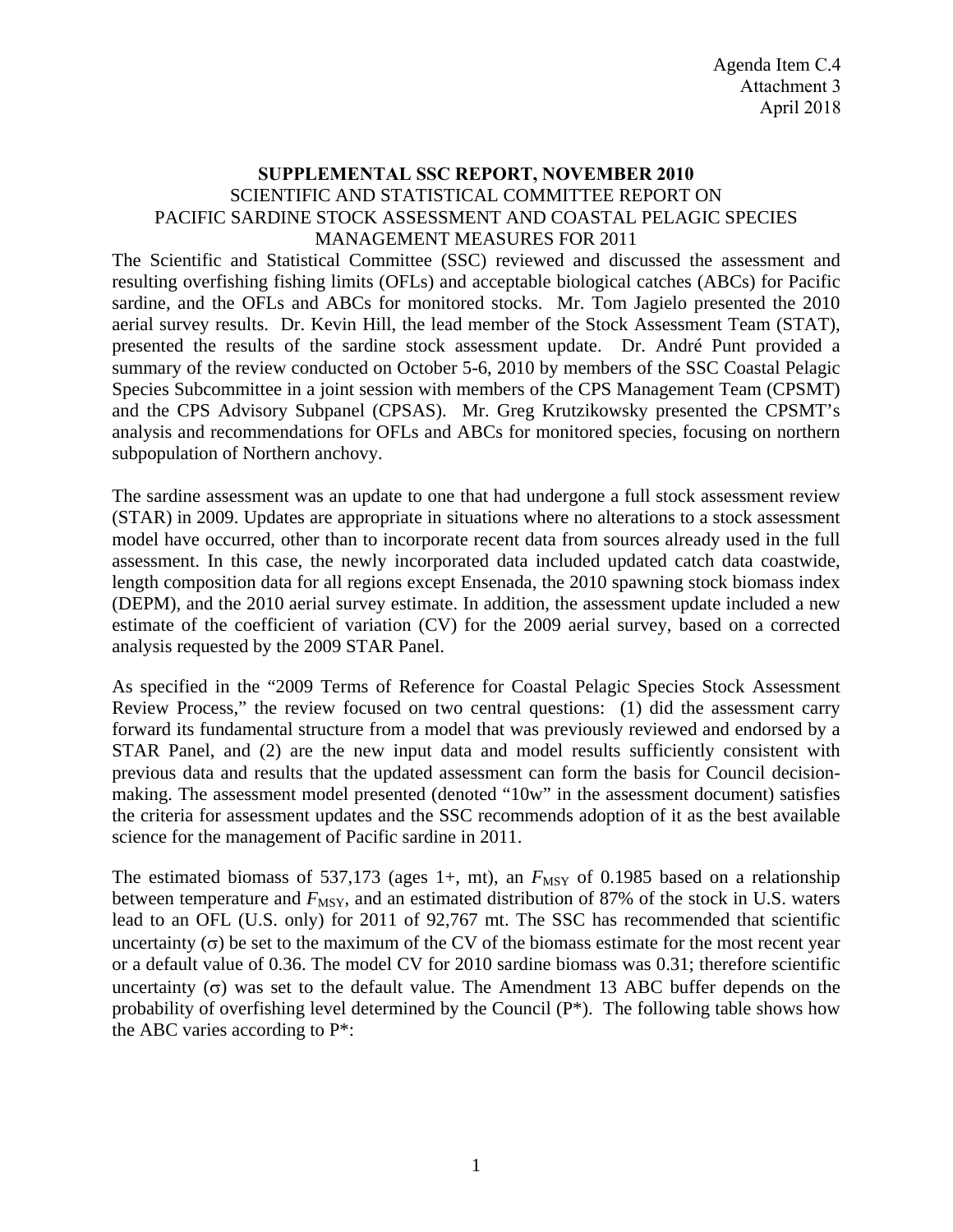## **SUPPLEMENTAL SSC REPORT, NOVEMBER 2010** SCIENTIFIC AND STATISTICAL COMMITTEE REPORT ON PACIFIC SARDINE STOCK ASSESSMENT AND COASTAL PELAGIC SPECIES MANAGEMENT MEASURES FOR 2011

The Scientific and Statistical Committee (SSC) reviewed and discussed the assessment and resulting overfishing fishing limits (OFLs) and acceptable biological catches (ABCs) for Pacific sardine, and the OFLs and ABCs for monitored stocks. Mr. Tom Jagielo presented the 2010 aerial survey results. Dr. Kevin Hill, the lead member of the Stock Assessment Team (STAT), presented the results of the sardine stock assessment update. Dr. André Punt provided a summary of the review conducted on October 5-6, 2010 by members of the SSC Coastal Pelagic Species Subcommittee in a joint session with members of the CPS Management Team (CPSMT) and the CPS Advisory Subpanel (CPSAS). Mr. Greg Krutzikowsky presented the CPSMT's analysis and recommendations for OFLs and ABCs for monitored species, focusing on northern subpopulation of Northern anchovy.

The sardine assessment was an update to one that had undergone a full stock assessment review (STAR) in 2009. Updates are appropriate in situations where no alterations to a stock assessment model have occurred, other than to incorporate recent data from sources already used in the full assessment. In this case, the newly incorporated data included updated catch data coastwide, length composition data for all regions except Ensenada, the 2010 spawning stock biomass index (DEPM), and the 2010 aerial survey estimate. In addition, the assessment update included a new estimate of the coefficient of variation (CV) for the 2009 aerial survey, based on a corrected analysis requested by the 2009 STAR Panel.

As specified in the "2009 Terms of Reference for Coastal Pelagic Species Stock Assessment Review Process," the review focused on two central questions: (1) did the assessment carry forward its fundamental structure from a model that was previously reviewed and endorsed by a STAR Panel, and (2) are the new input data and model results sufficiently consistent with previous data and results that the updated assessment can form the basis for Council decisionmaking. The assessment model presented (denoted "10w" in the assessment document) satisfies the criteria for assessment updates and the SSC recommends adoption of it as the best available science for the management of Pacific sardine in 2011.

The estimated biomass of 537,173 (ages 1+, mt), an  $F_{\text{MSY}}$  of 0.1985 based on a relationship between temperature and  $F_{\text{MSY}}$ , and an estimated distribution of 87% of the stock in U.S. waters lead to an OFL (U.S. only) for 2011 of 92,767 mt. The SSC has recommended that scientific uncertainty  $(\sigma)$  be set to the maximum of the CV of the biomass estimate for the most recent year or a default value of 0.36. The model CV for 2010 sardine biomass was 0.31; therefore scientific uncertainty  $(\sigma)$  was set to the default value. The Amendment 13 ABC buffer depends on the probability of overfishing level determined by the Council (P\*). The following table shows how the ABC varies according to P\*: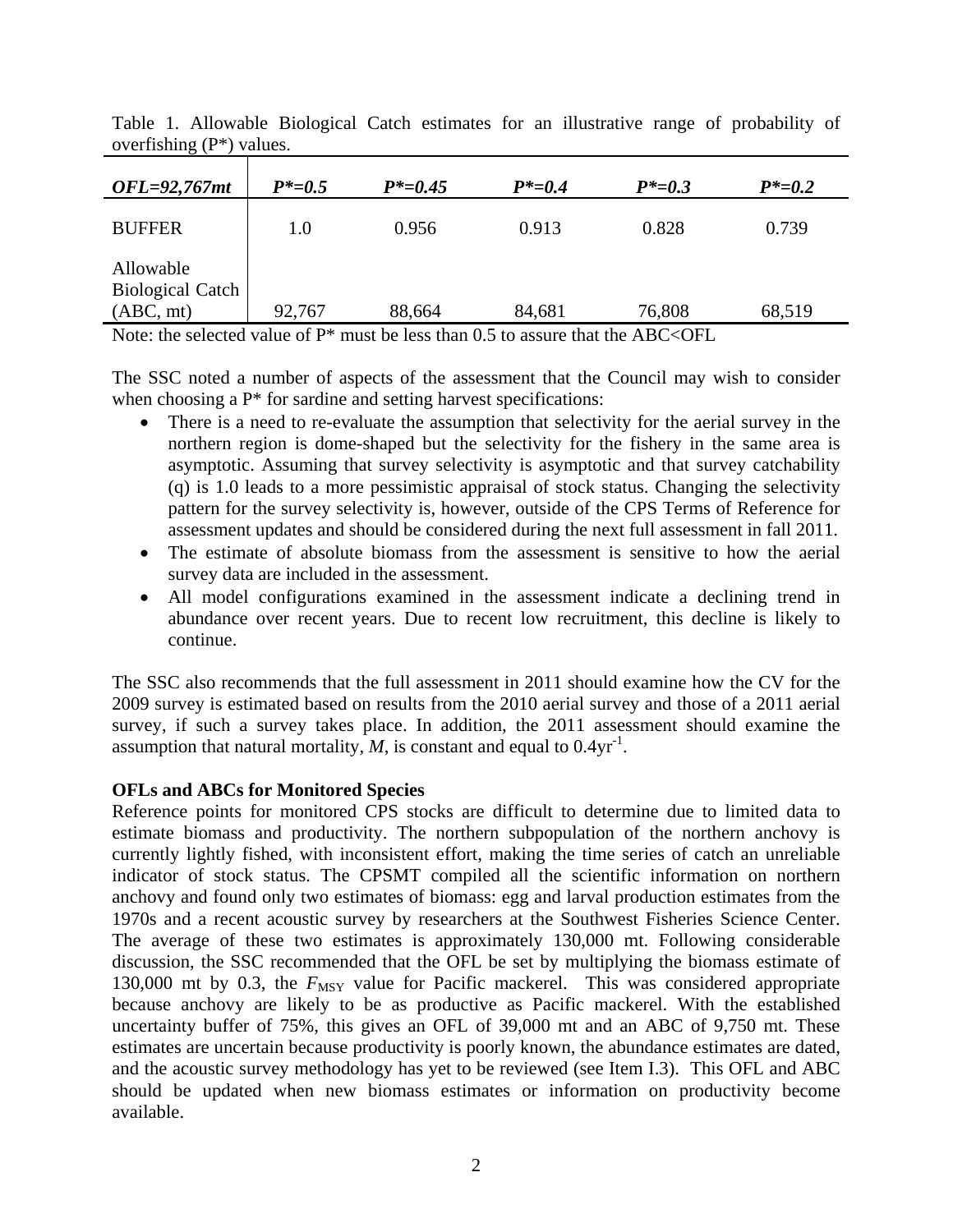| $OFL=92,767$ mt                                   | $P^* = 0.5$ | $P^* = 0.45$ | $P^* = 0.4$ | $P^* = 0.3$ | $P^* = 0.2$ |
|---------------------------------------------------|-------------|--------------|-------------|-------------|-------------|
| <b>BUFFER</b>                                     | $1.0\,$     | 0.956        | 0.913       | 0.828       | 0.739       |
| Allowable<br><b>Biological Catch</b><br>(ABC, mt) | 92,767      | 88,664       | 84,681      | 76,808      | 68,519      |

Table 1. Allowable Biological Catch estimates for an illustrative range of probability of overfishing (P\*) values.

Note: the selected value of  $P^*$  must be less than 0.5 to assure that the ABC<OFL

The SSC noted a number of aspects of the assessment that the Council may wish to consider when choosing a  $P^*$  for sardine and setting harvest specifications:

- There is a need to re-evaluate the assumption that selectivity for the aerial survey in the northern region is dome-shaped but the selectivity for the fishery in the same area is asymptotic. Assuming that survey selectivity is asymptotic and that survey catchability (q) is 1.0 leads to a more pessimistic appraisal of stock status. Changing the selectivity pattern for the survey selectivity is, however, outside of the CPS Terms of Reference for assessment updates and should be considered during the next full assessment in fall 2011.
- The estimate of absolute biomass from the assessment is sensitive to how the aerial survey data are included in the assessment.
- All model configurations examined in the assessment indicate a declining trend in abundance over recent years. Due to recent low recruitment, this decline is likely to continue.

The SSC also recommends that the full assessment in 2011 should examine how the CV for the 2009 survey is estimated based on results from the 2010 aerial survey and those of a 2011 aerial survey, if such a survey takes place. In addition, the 2011 assessment should examine the assumption that natural mortality,  $M$ , is constant and equal to  $0.4yr^{-1}$ .

## **OFLs and ABCs for Monitored Species**

Reference points for monitored CPS stocks are difficult to determine due to limited data to estimate biomass and productivity. The northern subpopulation of the northern anchovy is currently lightly fished, with inconsistent effort, making the time series of catch an unreliable indicator of stock status. The CPSMT compiled all the scientific information on northern anchovy and found only two estimates of biomass: egg and larval production estimates from the 1970s and a recent acoustic survey by researchers at the Southwest Fisheries Science Center. The average of these two estimates is approximately 130,000 mt. Following considerable discussion, the SSC recommended that the OFL be set by multiplying the biomass estimate of 130,000 mt by 0.3, the  $F_{\text{MSY}}$  value for Pacific mackerel. This was considered appropriate because anchovy are likely to be as productive as Pacific mackerel. With the established uncertainty buffer of 75%, this gives an OFL of 39,000 mt and an ABC of 9,750 mt. These estimates are uncertain because productivity is poorly known, the abundance estimates are dated, and the acoustic survey methodology has yet to be reviewed (see Item I.3). This OFL and ABC should be updated when new biomass estimates or information on productivity become available.